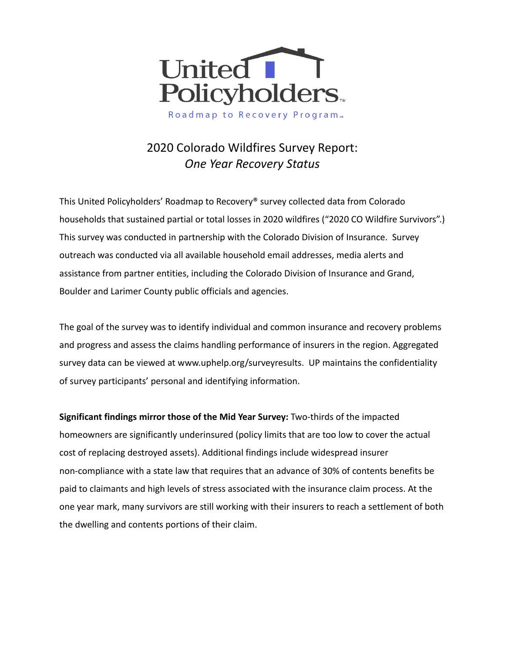

Roadmap to Recovery Program<sub>™</sub>

# 2020 Colorado Wildfires Survey Report: *One Year Recovery Status*

This United Policyholders' Roadmap to Recovery® survey collected data from Colorado households that sustained partial or total losses in 2020 wildfires ("2020 CO Wildfire Survivors".) This survey was conducted in partnership with the Colorado Division of Insurance. Survey outreach was conducted via all available household email addresses, media alerts and assistance from partner entities, including the Colorado Division of Insurance and Grand, Boulder and Larimer County public officials and agencies.

The goal of the survey was to identify individual and common insurance and recovery problems and progress and assess the claims handling performance of insurers in the region. Aggregated survey data can be viewed at [www.uphelp.org/surveyresults.](http://www.uphelp.org/surveyresults) UP maintains the confidentiality of survey participants' personal and identifying information.

**Significant findings mirror those of the Mid Year Survey:** Two-thirds of the impacted homeowners are significantly underinsured (policy limits that are too low to cover the actual cost of replacing destroyed assets). Additional findings include widespread insurer non-compliance with a state law that requires that an advance of 30% of contents benefits be paid to claimants and high levels of stress associated with the insurance claim process. At the one year mark, many survivors are still working with their insurers to reach a settlement of both the dwelling and contents portions of their claim.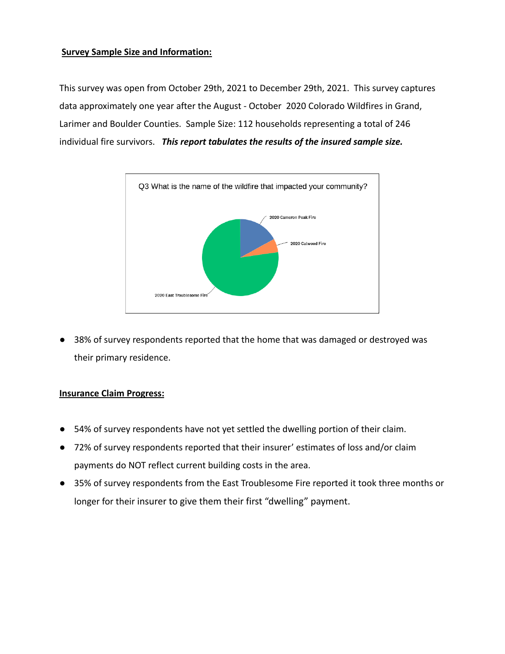#### **Survey Sample Size and Information:**

This survey was open from October 29th, 2021 to December 29th, 2021. This survey captures data approximately one year after the August - October 2020 Colorado Wildfires in Grand, Larimer and Boulder Counties. Sample Size: 112 households representing a total of 246 individual fire survivors. *This report tabulates the results of the insured sample size.*



● 38% of survey respondents reported that the home that was damaged or destroyed was their primary residence.

#### **Insurance Claim Progress:**

- 54% of survey respondents have not yet settled the dwelling portion of their claim.
- 72% of survey respondents reported that their insurer' estimates of loss and/or claim payments do NOT reflect current building costs in the area.
- 35% of survey respondents from the East Troublesome Fire reported it took three months or longer for their insurer to give them their first "dwelling" payment.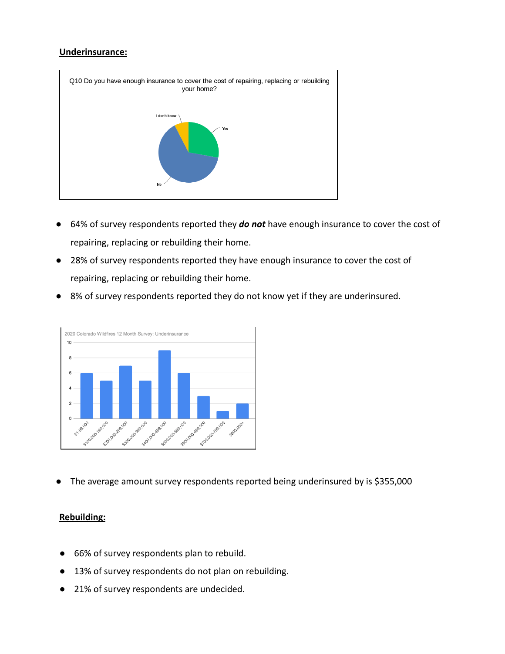#### **Underinsurance:**



- 64% of survey respondents reported they *do not* have enough insurance to cover the cost of repairing, replacing or rebuilding their home.
- 28% of survey respondents reported they have enough insurance to cover the cost of repairing, replacing or rebuilding their home.
- 8% of survey respondents reported they do not know yet if they are underinsured.



The average amount survey respondents reported being underinsured by is \$355,000

#### **Rebuilding:**

- 66% of survey respondents plan to rebuild.
- 13% of survey respondents do not plan on rebuilding.
- 21% of survey respondents are undecided.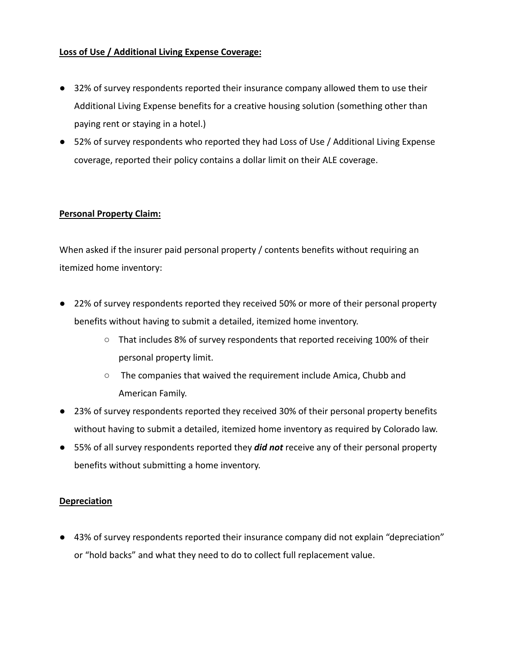## **Loss of Use / Additional Living Expense Coverage:**

- 32% of survey respondents reported their insurance company allowed them to use their Additional Living Expense benefits for a creative housing solution (something other than paying rent or staying in a hotel.)
- 52% of survey respondents who reported they had Loss of Use / Additional Living Expense coverage, reported their policy contains a dollar limit on their ALE coverage.

### **Personal Property Claim:**

When asked if the insurer paid personal property / contents benefits without requiring an itemized home inventory:

- 22% of survey respondents reported they received 50% or more of their personal property benefits without having to submit a detailed, itemized home inventory.
	- That includes 8% of survey respondents that reported receiving 100% of their personal property limit.
	- The companies that waived the requirement include Amica, Chubb and American Family.
- 23% of survey respondents reported they received 30% of their personal property benefits without having to submit a detailed, itemized home inventory as required by Colorado law.
- 55% of all survey respondents reported they *did not* receive any of their personal property benefits without submitting a home inventory.

#### **Depreciation**

● 43% of survey respondents reported their insurance company did not explain "depreciation" or "hold backs" and what they need to do to collect full replacement value.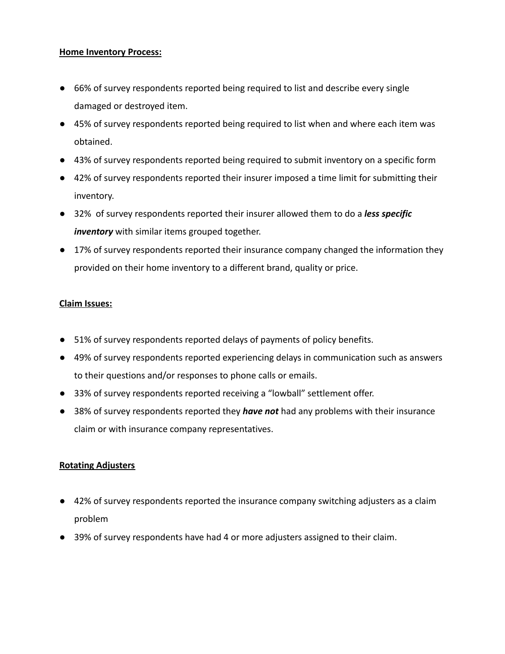#### **Home Inventory Process:**

- 66% of survey respondents reported being required to list and describe every single damaged or destroyed item.
- 45% of survey respondents reported being required to list when and where each item was obtained.
- 43% of survey respondents reported being required to submit inventory on a specific form
- 42% of survey respondents reported their insurer imposed a time limit for submitting their inventory.
- 32% of survey respondents reported their insurer allowed them to do a *less specific inventory* with similar items grouped together.
- 17% of survey respondents reported their insurance company changed the information they provided on their home inventory to a different brand, quality or price.

#### **Claim Issues:**

- 51% of survey respondents reported delays of payments of policy benefits.
- 49% of survey respondents reported experiencing delays in communication such as answers to their questions and/or responses to phone calls or emails.
- 33% of survey respondents reported receiving a "lowball" settlement offer.
- 38% of survey respondents reported they *have not* had any problems with their insurance claim or with insurance company representatives.

#### **Rotating Adjusters**

- 42% of survey respondents reported the insurance company switching adjusters as a claim problem
- 39% of survey respondents have had 4 or more adjusters assigned to their claim.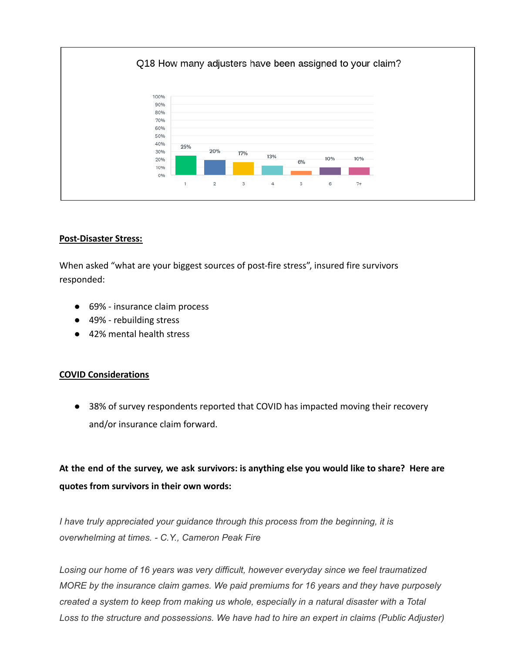

#### **Post-Disaster Stress:**

When asked "what are your biggest sources of post-fire stress", insured fire survivors responded:

- 69% insurance claim process
- 49% rebuilding stress
- 42% mental health stress

#### **COVID Considerations**

● 38% of survey respondents reported that COVID has impacted moving their recovery and/or insurance claim forward.

# At the end of the survey, we ask survivors: is anything else you would like to share? Here are **quotes from survivors in their own words:**

*I have truly appreciated your guidance through this process from the beginning, it is overwhelming at times. - C.Y., Cameron Peak Fire*

*Losing our home of 16 years was very difficult, however everyday since we feel traumatized MORE by the insurance claim games. We paid premiums for 16 years and they have purposely created a system to keep from making us whole, especially in a natural disaster with a Total Loss to the structure and possessions. We have had to hire an expert in claims (Public Adjuster)*